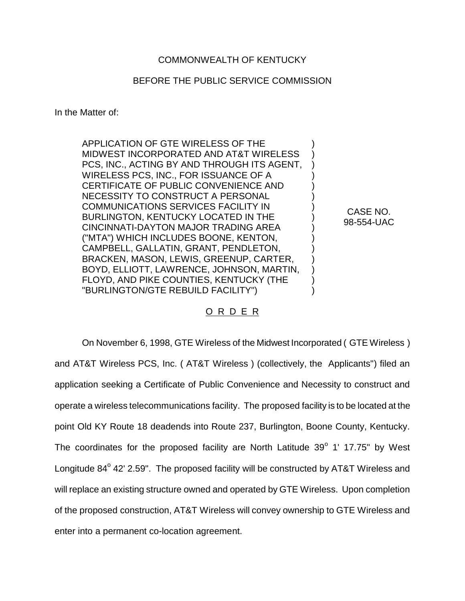## COMMONWEALTH OF KENTUCKY

## BEFORE THE PUBLIC SERVICE COMMISSION

In the Matter of:

APPLICATION OF GTE WIRELESS OF THE MIDWEST INCORPORATED AND AT&T WIRELESS PCS, INC., ACTING BY AND THROUGH ITS AGENT, WIRELESS PCS, INC., FOR ISSUANCE OF A CERTIFICATE OF PUBLIC CONVENIENCE AND NECESSITY TO CONSTRUCT A PERSONAL COMMUNICATIONS SERVICES FACILITY IN BURLINGTON, KENTUCKY LOCATED IN THE CINCINNATI-DAYTON MAJOR TRADING AREA ("MTA") WHICH INCLUDES BOONE, KENTON, CAMPBELL, GALLATIN, GRANT, PENDLETON, BRACKEN, MASON, LEWIS, GREENUP, CARTER, BOYD, ELLIOTT, LAWRENCE, JOHNSON, MARTIN, FLOYD, AND PIKE COUNTIES, KENTUCKY (THE "BURLINGTON/GTE REBUILD FACILITY")

CASE NO. 98-554-UAC

) ) ) ) ) ) ) ) ) ) ) ) ) ) )

## O R D E R

On November 6, 1998, GTE Wireless of the Midwest Incorporated ( GTE Wireless ) and AT&T Wireless PCS, Inc. ( AT&T Wireless ) (collectively, the Applicants") filed an application seeking a Certificate of Public Convenience and Necessity to construct and operate a wireless telecommunications facility. The proposed facility is to be located at the point Old KY Route 18 deadends into Route 237, Burlington, Boone County, Kentucky. The coordinates for the proposed facility are North Latitude  $39^{\circ}$  1' 17.75" by West Longitude 84° 42' 2.59". The proposed facility will be constructed by AT&T Wireless and will replace an existing structure owned and operated by GTE Wireless. Upon completion of the proposed construction, AT&T Wireless will convey ownership to GTE Wireless and enter into a permanent co-location agreement.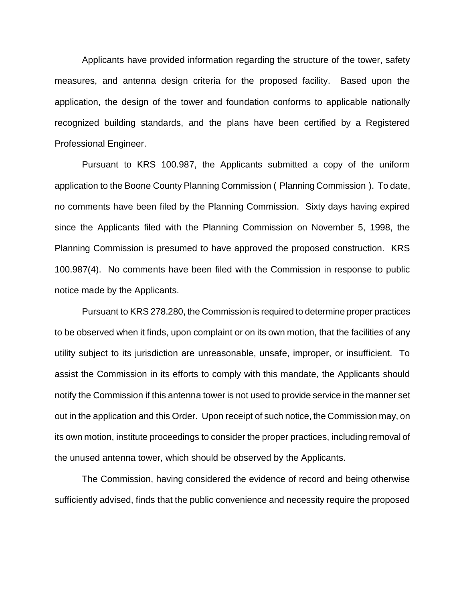Applicants have provided information regarding the structure of the tower, safety measures, and antenna design criteria for the proposed facility. Based upon the application, the design of the tower and foundation conforms to applicable nationally recognized building standards, and the plans have been certified by a Registered Professional Engineer.

Pursuant to KRS 100.987, the Applicants submitted a copy of the uniform application to the Boone County Planning Commission ( Planning Commission ). To date, no comments have been filed by the Planning Commission. Sixty days having expired since the Applicants filed with the Planning Commission on November 5, 1998, the Planning Commission is presumed to have approved the proposed construction. KRS 100.987(4). No comments have been filed with the Commission in response to public notice made by the Applicants.

Pursuant to KRS 278.280, the Commission is required to determine proper practices to be observed when it finds, upon complaint or on its own motion, that the facilities of any utility subject to its jurisdiction are unreasonable, unsafe, improper, or insufficient. To assist the Commission in its efforts to comply with this mandate, the Applicants should notify the Commission if this antenna tower is not used to provide service in the manner set out in the application and this Order. Upon receipt of such notice, the Commission may, on its own motion, institute proceedings to consider the proper practices, including removal of the unused antenna tower, which should be observed by the Applicants.

The Commission, having considered the evidence of record and being otherwise sufficiently advised, finds that the public convenience and necessity require the proposed